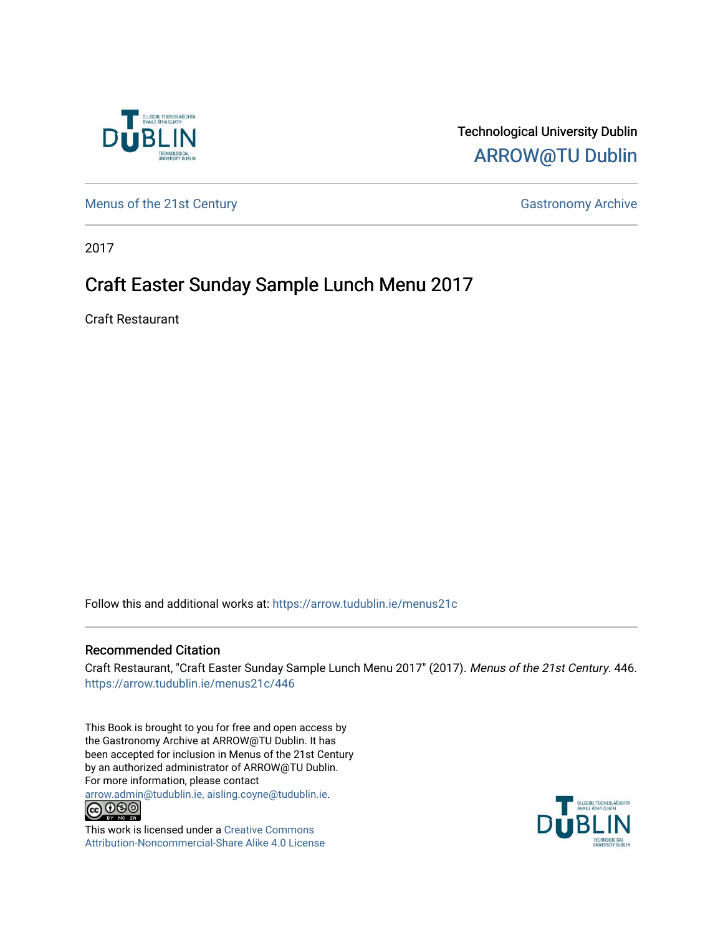

#### Technological University Dublin [ARROW@TU Dublin](https://arrow.tudublin.ie/)

[Menus of the 21st Century](https://arrow.tudublin.ie/menus21c) Gastronomy Archive

2017

#### Craft Easter Sunday Sample Lunch Menu 2017

Craft Restaurant

Follow this and additional works at: [https://arrow.tudublin.ie/menus21c](https://arrow.tudublin.ie/menus21c?utm_source=arrow.tudublin.ie%2Fmenus21c%2F446&utm_medium=PDF&utm_campaign=PDFCoverPages) 

#### Recommended Citation

Craft Restaurant, "Craft Easter Sunday Sample Lunch Menu 2017" (2017). Menus of the 21st Century. 446. [https://arrow.tudublin.ie/menus21c/446](https://arrow.tudublin.ie/menus21c/446?utm_source=arrow.tudublin.ie%2Fmenus21c%2F446&utm_medium=PDF&utm_campaign=PDFCoverPages) 

This Book is brought to you for free and open access by the Gastronomy Archive at ARROW@TU Dublin. It has been accepted for inclusion in Menus of the 21st Century by an authorized administrator of ARROW@TU Dublin. For more information, please contact

[arrow.admin@tudublin.ie, aisling.coyne@tudublin.ie](mailto:arrow.admin@tudublin.ie,%20aisling.coyne@tudublin.ie).<br>
co 000



This work is licensed under a [Creative Commons](http://creativecommons.org/licenses/by-nc-sa/4.0/) [Attribution-Noncommercial-Share Alike 4.0 License](http://creativecommons.org/licenses/by-nc-sa/4.0/)

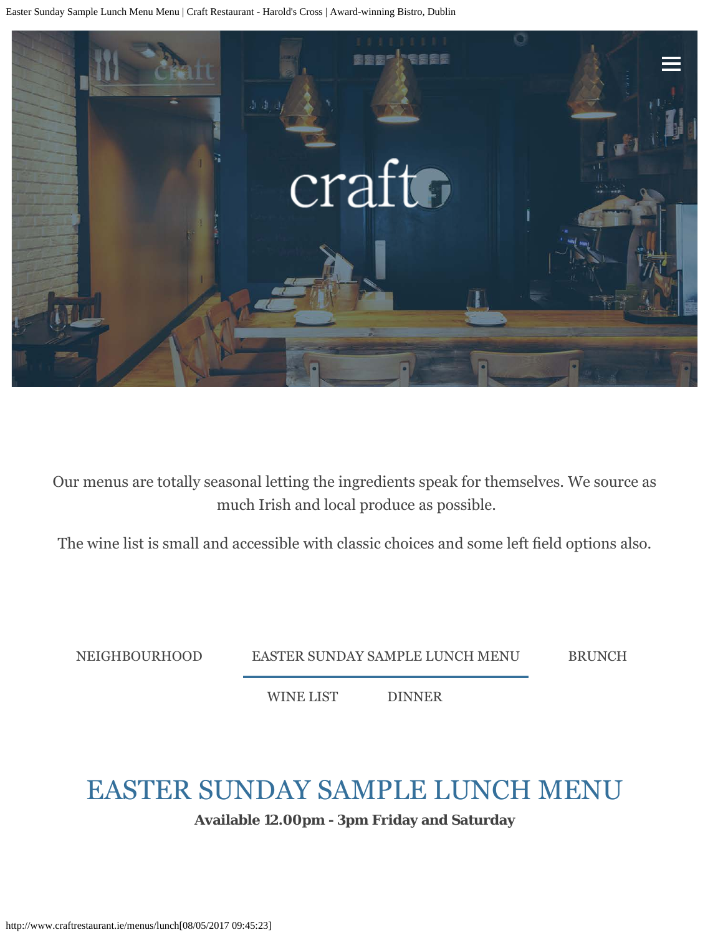<span id="page-1-0"></span>Easter Sunday Sample Lunch Menu Menu | Craft Restaurant - Harold's Cross | Award-winning Bistro, Dublin



Our menus are totally seasonal letting the ingredients speak for themselves. We source as much Irish and local produce as possible.

The wine list is small and accessible with classic choices and some left feld options also.

[NEIGHBOURHOOD](http://www.craftrestaurant.ie/menus/neighbourhood) [EASTER SUNDAY SAMPLE LUNCH MENU](#page-1-0) [BRUNCH](http://www.craftrestaurant.ie/menus/brunch)

[WINE LIST](http://www.craftrestaurant.ie/menus/wine-list) [DINNER](http://www.craftrestaurant.ie/menus/craft)

## EASTER SUNDAY SAMPLE LUNCH MENU

**Available 12.00pm - 3pm Friday and Saturday**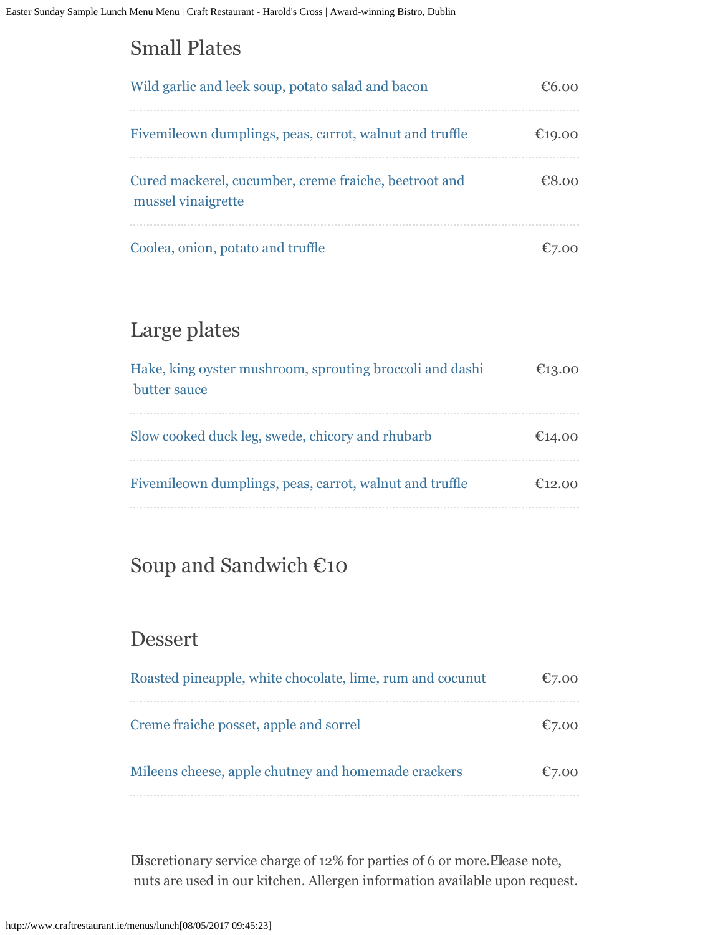### Small Plates

| Wild garlic and leek soup, potato salad and bacon                           | €რ იი  |
|-----------------------------------------------------------------------------|--------|
| Fivemileown dumplings, peas, carrot, walnut and truffle                     | €19.00 |
| Cured mackerel, cucumber, creme fraiche, beetroot and<br>mussel vinaigrette | €8.00  |
| Coolea, onion, potato and truffle                                           |        |

## Large plates

| Hake, king oyster mushroom, sprouting broccoli and dashi<br>butter sauce | €13.00 |
|--------------------------------------------------------------------------|--------|
| Slow cooked duck leg, swede, chicory and rhubarb                         | €14.00 |
| Fivemileown dumplings, peas, carrot, walnut and truffle                  | €12.00 |

#### Soup and Sandwich €10

#### Dessert

| Roasted pineapple, white chocolate, lime, rum and cocunut | €7.00    |
|-----------------------------------------------------------|----------|
| Creme fraiche posset, apple and sorrel                    | $E$ 7.00 |
| Mileens cheese, apple chutney and homemade crackers       | E7.00    |

 Discretionary service charge of 12% for parties of 6 or more. Please note, nuts are used in our kitchen. Allergen information available upon request.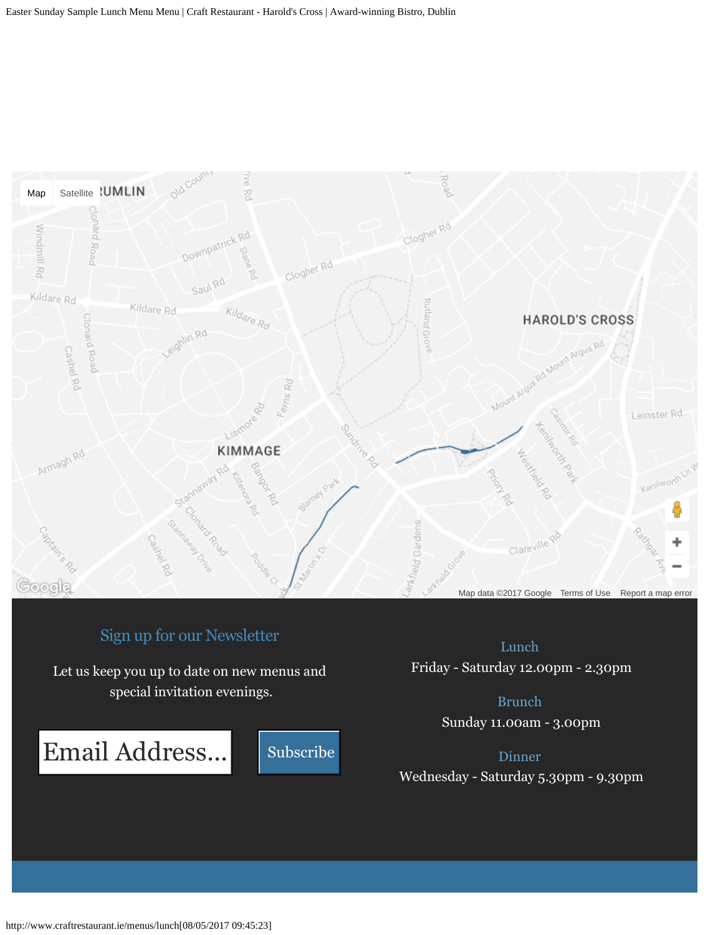

#### Sign up for our Newsletter

Let us keep you up to date on new menus and special invitation evenings.

Email Address...



Lunch Friday - Saturday 12.00pm - 2.30pm

> Brunch Sunday 11.00am - 3.00pm

> > Dinner

Wednesday - Saturday 5.30pm - 9.30pm